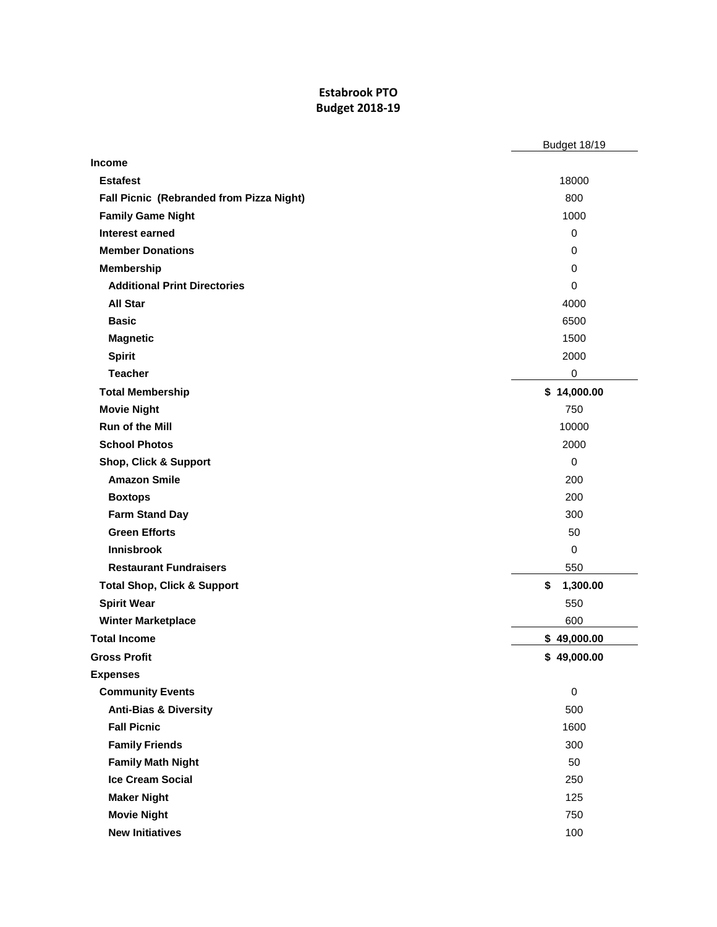## **Estabrook PTO Budget 2018-19**

|                                          | <b>Budget 18/19</b> |
|------------------------------------------|---------------------|
| <b>Income</b>                            |                     |
| <b>Estafest</b>                          | 18000               |
| Fall Picnic (Rebranded from Pizza Night) | 800                 |
| <b>Family Game Night</b>                 | 1000                |
| <b>Interest earned</b>                   | 0                   |
| <b>Member Donations</b>                  | $\Omega$            |
| <b>Membership</b>                        | 0                   |
| <b>Additional Print Directories</b>      | $\Omega$            |
| <b>All Star</b>                          | 4000                |
| <b>Basic</b>                             | 6500                |
| <b>Magnetic</b>                          | 1500                |
| <b>Spirit</b>                            | 2000                |
| <b>Teacher</b>                           | $\pmb{0}$           |
| <b>Total Membership</b>                  | \$14,000.00         |
| <b>Movie Night</b>                       | 750                 |
| Run of the Mill                          | 10000               |
| <b>School Photos</b>                     | 2000                |
| <b>Shop, Click &amp; Support</b>         | $\Omega$            |
| <b>Amazon Smile</b>                      | 200                 |
| <b>Boxtops</b>                           | 200                 |
| <b>Farm Stand Day</b>                    | 300                 |
| <b>Green Efforts</b>                     | 50                  |
| <b>Innisbrook</b>                        | $\mathbf 0$         |
| <b>Restaurant Fundraisers</b>            | 550                 |
| <b>Total Shop, Click &amp; Support</b>   | \$<br>1,300.00      |
| <b>Spirit Wear</b>                       | 550                 |
| <b>Winter Marketplace</b>                | 600                 |
| <b>Total Income</b>                      | \$49,000.00         |
| <b>Gross Profit</b>                      | \$49,000.00         |
| <b>Expenses</b>                          |                     |
| <b>Community Events</b>                  | $\mathbf 0$         |
| <b>Anti-Bias &amp; Diversity</b>         | 500                 |
| <b>Fall Picnic</b>                       | 1600                |
| <b>Family Friends</b>                    | 300                 |
| <b>Family Math Night</b>                 | 50                  |
| <b>Ice Cream Social</b>                  | 250                 |
| <b>Maker Night</b>                       | 125                 |
| <b>Movie Night</b>                       | 750                 |
| <b>New Initiatives</b>                   | 100                 |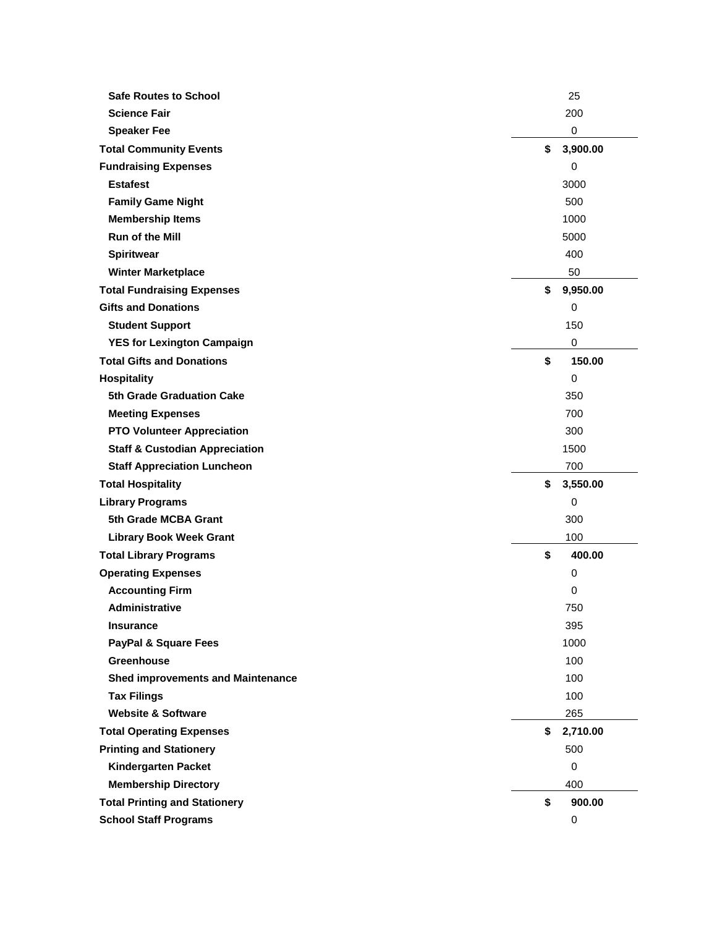| <b>Safe Routes to School</b>              | 25             |
|-------------------------------------------|----------------|
| <b>Science Fair</b>                       | 200            |
| <b>Speaker Fee</b>                        | $\pmb{0}$      |
| <b>Total Community Events</b>             | \$<br>3,900.00 |
| <b>Fundraising Expenses</b>               | $\mathbf 0$    |
| <b>Estafest</b>                           | 3000           |
| <b>Family Game Night</b>                  | 500            |
| <b>Membership Items</b>                   | 1000           |
| Run of the Mill                           | 5000           |
| <b>Spiritwear</b>                         | 400            |
| <b>Winter Marketplace</b>                 | 50             |
| <b>Total Fundraising Expenses</b>         | \$<br>9,950.00 |
| <b>Gifts and Donations</b>                | $\mathbf 0$    |
| <b>Student Support</b>                    | 150            |
| <b>YES for Lexington Campaign</b>         | 0              |
| <b>Total Gifts and Donations</b>          | \$<br>150.00   |
| <b>Hospitality</b>                        | $\mathbf 0$    |
| <b>5th Grade Graduation Cake</b>          | 350            |
| <b>Meeting Expenses</b>                   | 700            |
| <b>PTO Volunteer Appreciation</b>         | 300            |
| <b>Staff &amp; Custodian Appreciation</b> | 1500           |
| <b>Staff Appreciation Luncheon</b>        | 700            |
| <b>Total Hospitality</b>                  | \$<br>3,550.00 |
| <b>Library Programs</b>                   | 0              |
| 5th Grade MCBA Grant                      | 300            |
| <b>Library Book Week Grant</b>            | 100            |
| <b>Total Library Programs</b>             | \$<br>400.00   |
| <b>Operating Expenses</b>                 | 0              |
| <b>Accounting Firm</b>                    | 0              |
| Administrative                            | 750            |
|                                           |                |
| <b>Insurance</b>                          | 395            |
| <b>PayPal &amp; Square Fees</b>           | 1000           |
| <b>Greenhouse</b>                         | 100            |
| <b>Shed improvements and Maintenance</b>  | 100            |
| <b>Tax Filings</b>                        | 100            |
| <b>Website &amp; Software</b>             | 265            |
| <b>Total Operating Expenses</b>           | \$<br>2,710.00 |
| <b>Printing and Stationery</b>            | 500            |
| <b>Kindergarten Packet</b>                | $\mathbf 0$    |
| <b>Membership Directory</b>               | 400            |
| <b>Total Printing and Stationery</b>      | \$<br>900.00   |